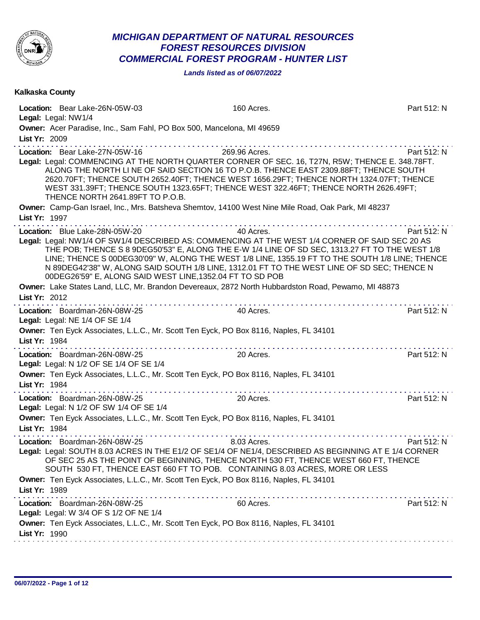

## *MICHIGAN DEPARTMENT OF NATURAL RESOURCES FOREST RESOURCES DIVISION COMMERCIAL FOREST PROGRAM - HUNTER LIST*

*Lands listed as of 06/07/2022*

| Kalkaska County                                                                                                                                                                                                                                                             |                                                                                                                                                                                                                                                                                                               |             |
|-----------------------------------------------------------------------------------------------------------------------------------------------------------------------------------------------------------------------------------------------------------------------------|---------------------------------------------------------------------------------------------------------------------------------------------------------------------------------------------------------------------------------------------------------------------------------------------------------------|-------------|
| Location: Bear Lake-26N-05W-03<br>Legal: Legal: NW1/4                                                                                                                                                                                                                       | 160 Acres.                                                                                                                                                                                                                                                                                                    | Part 512: N |
| Owner: Acer Paradise, Inc., Sam Fahl, PO Box 500, Mancelona, MI 49659<br>List Yr: 2009                                                                                                                                                                                      |                                                                                                                                                                                                                                                                                                               |             |
| Location: Bear Lake-27N-05W-16<br>Legal: Legal: COMMENCING AT THE NORTH QUARTER CORNER OF SEC. 16, T27N, R5W; THENCE E. 348.78FT.<br>THENCE NORTH 2641.89FT TO P.O.B.<br>Owner: Camp-Gan Israel, Inc., Mrs. Batsheva Shemtov, 14100 West Nine Mile Road, Oak Park, MI 48237 | 269.96 Acres.<br>ALONG THE NORTH LI NE OF SAID SECTION 16 TO P.O.B. THENCE EAST 2309.88FT; THENCE SOUTH<br>2620.70FT; THENCE SOUTH 2652.40FT; THENCE WEST 1656.29FT; THENCE NORTH 1324.07FT; THENCE<br>WEST 331.39FT; THENCE SOUTH 1323.65FT; THENCE WEST 322.46FT; THENCE NORTH 2626.49FT;                   | Part 512: N |
| List Yr: 1997                                                                                                                                                                                                                                                               |                                                                                                                                                                                                                                                                                                               |             |
| Location: Blue Lake-28N-05W-20<br>Legal: Legal: NW1/4 OF SW1/4 DESCRIBED AS: COMMENCING AT THE WEST 1/4 CORNER OF SAID SEC 20 AS<br>00DEG26'59" E, ALONG SAID WEST LINE, 1352.04 FT TO SD POB                                                                               | 40 Acres.<br>THE POB; THENCE S 8 9DEG50'53" E, ALONG THE E-W 1/4 LINE OF SD SEC, 1313.27 FT TO THE WEST 1/8<br>LINE; THENCE S 00DEG30'09" W, ALONG THE WEST 1/8 LINE, 1355.19 FT TO THE SOUTH 1/8 LINE; THENCE<br>N 89DEG42'38" W, ALONG SAID SOUTH 1/8 LINE, 1312.01 FT TO THE WEST LINE OF SD SEC; THENCE N | Part 512: N |
| Owner: Lake States Land, LLC, Mr. Brandon Devereaux, 2872 North Hubbardston Road, Pewamo, MI 48873<br>List Yr: 2012                                                                                                                                                         |                                                                                                                                                                                                                                                                                                               |             |
| Location: Boardman-26N-08W-25<br>Legal: Legal: NE 1/4 OF SE 1/4                                                                                                                                                                                                             | 40 Acres.                                                                                                                                                                                                                                                                                                     | Part 512: N |
| Owner: Ten Eyck Associates, L.L.C., Mr. Scott Ten Eyck, PO Box 8116, Naples, FL 34101<br>List Yr: 1984                                                                                                                                                                      | . <b>.</b>                                                                                                                                                                                                                                                                                                    |             |
| Location: Boardman-26N-08W-25<br>Legal: Legal: N 1/2 OF SE 1/4 OF SE 1/4<br>Owner: Ten Eyck Associates, L.L.C., Mr. Scott Ten Eyck, PO Box 8116, Naples, FL 34101                                                                                                           | 20 Acres.                                                                                                                                                                                                                                                                                                     | Part 512: N |
| List Yr: 1984                                                                                                                                                                                                                                                               |                                                                                                                                                                                                                                                                                                               |             |
| Location: Boardman-26N-08W-25<br>Legal: Legal: N 1/2 OF SW 1/4 OF SE 1/4                                                                                                                                                                                                    | 20 Acres.                                                                                                                                                                                                                                                                                                     | Part 512: N |
| Owner: Ten Eyck Associates, L.L.C., Mr. Scott Ten Eyck, PO Box 8116, Naples, FL 34101<br>List Yr: 1984                                                                                                                                                                      |                                                                                                                                                                                                                                                                                                               |             |
| Location: Boardman-26N-08W-25<br>Legal: Legal: SOUTH 8.03 ACRES IN THE E1/2 OF SE1/4 OF NE1/4, DESCRIBED AS BEGINNING AT E 1/4 CORNER                                                                                                                                       | 8.03 Acres.<br>OF SEC 25 AS THE POINT OF BEGINNING, THENCE NORTH 530 FT, THENCE WEST 660 FT, THENCE<br>SOUTH 530 FT, THENCE EAST 660 FT TO POB. CONTAINING 8.03 ACRES, MORE OR LESS                                                                                                                           | Part 512: N |
| Owner: Ten Eyck Associates, L.L.C., Mr. Scott Ten Eyck, PO Box 8116, Naples, FL 34101<br>List Yr: 1989                                                                                                                                                                      |                                                                                                                                                                                                                                                                                                               |             |
| Location: Boardman-26N-08W-25<br>Legal: Legal: W 3/4 OF S 1/2 OF NE 1/4                                                                                                                                                                                                     | 60 Acres.                                                                                                                                                                                                                                                                                                     | Part 512: N |
| Owner: Ten Eyck Associates, L.L.C., Mr. Scott Ten Eyck, PO Box 8116, Naples, FL 34101<br>List Yr: 1990                                                                                                                                                                      |                                                                                                                                                                                                                                                                                                               |             |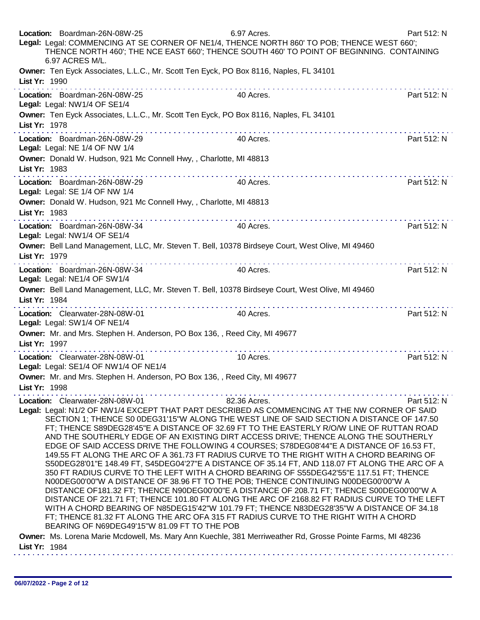| Location: Boardman-26N-08W-25<br>Legal: Legal: COMMENCING AT SE CORNER OF NE1/4, THENCE NORTH 860' TO POB; THENCE WEST 660';<br>THENCE NORTH 460'; THE NCE EAST 660'; THENCE SOUTH 460' TO POINT OF BEGINNING. CONTAINING<br>6.97 ACRES M/L.                                                                                                                                                                                                                                                                                                                                                                                                                                                                                                                                                                                                                                                                                                                                                                                                                                                                                                                                                                                                                                                                                                                                                                                                  | 6.97 Acres.  | Part 512: N |
|-----------------------------------------------------------------------------------------------------------------------------------------------------------------------------------------------------------------------------------------------------------------------------------------------------------------------------------------------------------------------------------------------------------------------------------------------------------------------------------------------------------------------------------------------------------------------------------------------------------------------------------------------------------------------------------------------------------------------------------------------------------------------------------------------------------------------------------------------------------------------------------------------------------------------------------------------------------------------------------------------------------------------------------------------------------------------------------------------------------------------------------------------------------------------------------------------------------------------------------------------------------------------------------------------------------------------------------------------------------------------------------------------------------------------------------------------|--------------|-------------|
| Owner: Ten Eyck Associates, L.L.C., Mr. Scott Ten Eyck, PO Box 8116, Naples, FL 34101<br>List Yr: 1990                                                                                                                                                                                                                                                                                                                                                                                                                                                                                                                                                                                                                                                                                                                                                                                                                                                                                                                                                                                                                                                                                                                                                                                                                                                                                                                                        |              |             |
| Location: Boardman-26N-08W-25<br>Legal: Legal: NW1/4 OF SE1/4                                                                                                                                                                                                                                                                                                                                                                                                                                                                                                                                                                                                                                                                                                                                                                                                                                                                                                                                                                                                                                                                                                                                                                                                                                                                                                                                                                                 | 40 Acres.    | Part 512: N |
| Owner: Ten Eyck Associates, L.L.C., Mr. Scott Ten Eyck, PO Box 8116, Naples, FL 34101<br>List Yr: 1978<br>.                                                                                                                                                                                                                                                                                                                                                                                                                                                                                                                                                                                                                                                                                                                                                                                                                                                                                                                                                                                                                                                                                                                                                                                                                                                                                                                                   |              |             |
| Location: Boardman-26N-08W-29<br>Legal: Legal: NE 1/4 OF NW 1/4                                                                                                                                                                                                                                                                                                                                                                                                                                                                                                                                                                                                                                                                                                                                                                                                                                                                                                                                                                                                                                                                                                                                                                                                                                                                                                                                                                               | 40 Acres.    | Part 512: N |
| Owner: Donald W. Hudson, 921 Mc Connell Hwy, , Charlotte, MI 48813<br>List Yr: 1983                                                                                                                                                                                                                                                                                                                                                                                                                                                                                                                                                                                                                                                                                                                                                                                                                                                                                                                                                                                                                                                                                                                                                                                                                                                                                                                                                           |              |             |
| .<br>Location: Boardman-26N-08W-29<br>Legal: Legal: SE 1/4 OF NW 1/4                                                                                                                                                                                                                                                                                                                                                                                                                                                                                                                                                                                                                                                                                                                                                                                                                                                                                                                                                                                                                                                                                                                                                                                                                                                                                                                                                                          | 40 Acres.    | Part 512: N |
| Owner: Donald W. Hudson, 921 Mc Connell Hwy, , Charlotte, MI 48813<br>List Yr: 1983                                                                                                                                                                                                                                                                                                                                                                                                                                                                                                                                                                                                                                                                                                                                                                                                                                                                                                                                                                                                                                                                                                                                                                                                                                                                                                                                                           |              |             |
| Location: Boardman-26N-08W-34<br>Legal: Legal: NW1/4 OF SE1/4                                                                                                                                                                                                                                                                                                                                                                                                                                                                                                                                                                                                                                                                                                                                                                                                                                                                                                                                                                                                                                                                                                                                                                                                                                                                                                                                                                                 | 40 Acres.    | Part 512: N |
| Owner: Bell Land Management, LLC, Mr. Steven T. Bell, 10378 Birdseye Court, West Olive, MI 49460<br>List Yr: 1979                                                                                                                                                                                                                                                                                                                                                                                                                                                                                                                                                                                                                                                                                                                                                                                                                                                                                                                                                                                                                                                                                                                                                                                                                                                                                                                             |              |             |
| .<br>Location: Boardman-26N-08W-34<br>Legal: Legal: NE1/4 OF SW1/4                                                                                                                                                                                                                                                                                                                                                                                                                                                                                                                                                                                                                                                                                                                                                                                                                                                                                                                                                                                                                                                                                                                                                                                                                                                                                                                                                                            | 40 Acres.    | Part 512: N |
| Owner: Bell Land Management, LLC, Mr. Steven T. Bell, 10378 Birdseye Court, West Olive, MI 49460<br>List Yr: 1984                                                                                                                                                                                                                                                                                                                                                                                                                                                                                                                                                                                                                                                                                                                                                                                                                                                                                                                                                                                                                                                                                                                                                                                                                                                                                                                             |              |             |
| Location: Clearwater-28N-08W-01<br>Legal: Legal: SW1/4 OF NE1/4                                                                                                                                                                                                                                                                                                                                                                                                                                                                                                                                                                                                                                                                                                                                                                                                                                                                                                                                                                                                                                                                                                                                                                                                                                                                                                                                                                               | 40 Acres.    | Part 512: N |
| Owner: Mr. and Mrs. Stephen H. Anderson, PO Box 136, , Reed City, MI 49677<br>List Yr: 1997                                                                                                                                                                                                                                                                                                                                                                                                                                                                                                                                                                                                                                                                                                                                                                                                                                                                                                                                                                                                                                                                                                                                                                                                                                                                                                                                                   |              |             |
| Location: Clearwater-28N-08W-01<br>Legal: Legal: SE1/4 OF NW1/4 OF NE1/4                                                                                                                                                                                                                                                                                                                                                                                                                                                                                                                                                                                                                                                                                                                                                                                                                                                                                                                                                                                                                                                                                                                                                                                                                                                                                                                                                                      | 10 Acres.    | Part 512: N |
| Owner: Mr. and Mrs. Stephen H. Anderson, PO Box 136, , Reed City, MI 49677<br>List Yr: 1998                                                                                                                                                                                                                                                                                                                                                                                                                                                                                                                                                                                                                                                                                                                                                                                                                                                                                                                                                                                                                                                                                                                                                                                                                                                                                                                                                   |              |             |
| Location: Clearwater-28N-08W-01<br>Legal: Legal: N1/2 OF NW1/4 EXCEPT THAT PART DESCRIBED AS COMMENCING AT THE NW CORNER OF SAID<br>SECTION 1; THENCE S0 0DEG31'15"W ALONG THE WEST LINE OF SAID SECTION A DISTANCE OF 147.50<br>FT; THENCE S89DEG28'45"E A DISTANCE OF 32.69 FT TO THE EASTERLY R/O/W LINE OF RUTTAN ROAD<br>AND THE SOUTHERLY EDGE OF AN EXISTING DIRT ACCESS DRIVE; THENCE ALONG THE SOUTHERLY<br>EDGE OF SAID ACCESS DRIVE THE FOLLOWING 4 COURSES; S78DEG08'44"E A DISTANCE OF 16.53 FT,<br>149.55 FT ALONG THE ARC OF A 361.73 FT RADIUS CURVE TO THE RIGHT WITH A CHORD BEARING OF<br>S50DEG28'01"E 148.49 FT, S45DEG04'27"E A DISTANCE OF 35.14 FT, AND 118.07 FT ALONG THE ARC OF A<br>350 FT RADIUS CURVE TO THE LEFT WITH A CHORD BEARING OF S55DEG42'55"E 117.51 FT; THENCE<br>N00DEG00'00"W A DISTANCE OF 38.96 FT TO THE POB; THENCE CONTINUING N00DEG00'00"W A<br>DISTANCE OF181.32 FT; THENCE N90DEG00'00"E A DISTANCE OF 208.71 FT; THENCE S00DEG00'00"W A<br>DISTANCE OF 221.71 FT; THENCE 101.80 FT ALONG THE ARC OF 2168.82 FT RADIUS CURVE TO THE LEFT<br>WITH A CHORD BEARING OF N85DEG15'42"W 101.79 FT; THENCE N83DEG28'35"W A DISTANCE OF 34.18<br>FT; THENCE 81.32 FT ALONG THE ARC OFA 315 FT RADIUS CURVE TO THE RIGHT WITH A CHORD<br>BEARING OF N69DEG49'15"W 81.09 FT TO THE POB<br>Owner: Ms. Lorena Marie Mcdowell, Ms. Mary Ann Kuechle, 381 Merriweather Rd, Grosse Pointe Farms, MI 48236 | 82.36 Acres. | Part 512: N |
| List Yr: 1984                                                                                                                                                                                                                                                                                                                                                                                                                                                                                                                                                                                                                                                                                                                                                                                                                                                                                                                                                                                                                                                                                                                                                                                                                                                                                                                                                                                                                                 |              |             |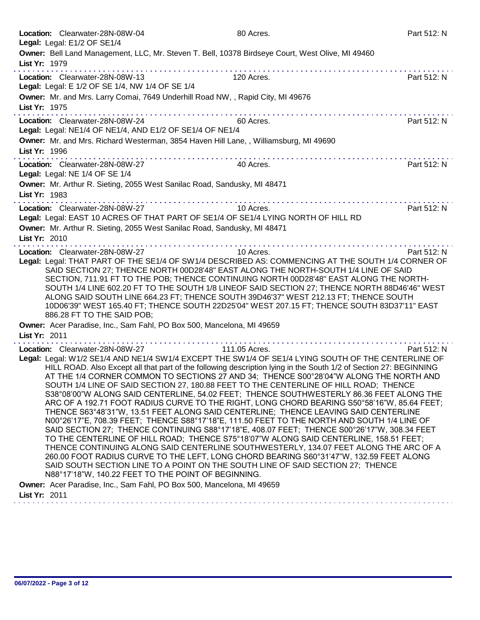| Location: Clearwater-28N-08W-04<br>Legal: Legal: E1/2 OF SE1/4                                                                                                                                                                                                                                                                                                                                                                                                                                                                                                                                                                                                                                                                                                                                                                                                                                                                                                                                                                                                                                                                                                                                                                                                                                                                                                                                                                     | 80 Acres.     | Part 512: N |
|------------------------------------------------------------------------------------------------------------------------------------------------------------------------------------------------------------------------------------------------------------------------------------------------------------------------------------------------------------------------------------------------------------------------------------------------------------------------------------------------------------------------------------------------------------------------------------------------------------------------------------------------------------------------------------------------------------------------------------------------------------------------------------------------------------------------------------------------------------------------------------------------------------------------------------------------------------------------------------------------------------------------------------------------------------------------------------------------------------------------------------------------------------------------------------------------------------------------------------------------------------------------------------------------------------------------------------------------------------------------------------------------------------------------------------|---------------|-------------|
| Owner: Bell Land Management, LLC, Mr. Steven T. Bell, 10378 Birdseye Court, West Olive, MI 49460<br>List Yr: 1979                                                                                                                                                                                                                                                                                                                                                                                                                                                                                                                                                                                                                                                                                                                                                                                                                                                                                                                                                                                                                                                                                                                                                                                                                                                                                                                  |               |             |
| Location: Clearwater-28N-08W-13<br>Legal: Legal: E 1/2 OF SE 1/4, NW 1/4 OF SE 1/4                                                                                                                                                                                                                                                                                                                                                                                                                                                                                                                                                                                                                                                                                                                                                                                                                                                                                                                                                                                                                                                                                                                                                                                                                                                                                                                                                 | 120 Acres.    | Part 512: N |
| Owner: Mr. and Mrs. Larry Comai, 7649 Underhill Road NW, , Rapid City, MI 49676<br>List Yr: 1975                                                                                                                                                                                                                                                                                                                                                                                                                                                                                                                                                                                                                                                                                                                                                                                                                                                                                                                                                                                                                                                                                                                                                                                                                                                                                                                                   |               |             |
| Location: Clearwater-28N-08W-24<br>Legal: Legal: NE1/4 OF NE1/4, AND E1/2 OF SE1/4 OF NE1/4                                                                                                                                                                                                                                                                                                                                                                                                                                                                                                                                                                                                                                                                                                                                                                                                                                                                                                                                                                                                                                                                                                                                                                                                                                                                                                                                        | 60 Acres.     | Part 512: N |
| Owner: Mr. and Mrs. Richard Westerman, 3854 Haven Hill Lane, , Williamsburg, MI 49690<br>List Yr: 1996                                                                                                                                                                                                                                                                                                                                                                                                                                                                                                                                                                                                                                                                                                                                                                                                                                                                                                                                                                                                                                                                                                                                                                                                                                                                                                                             |               |             |
| Location: Clearwater-28N-08W-27<br>Legal: Legal: NE 1/4 OF SE 1/4                                                                                                                                                                                                                                                                                                                                                                                                                                                                                                                                                                                                                                                                                                                                                                                                                                                                                                                                                                                                                                                                                                                                                                                                                                                                                                                                                                  | 40 Acres.     | Part 512: N |
| Owner: Mr. Arthur R. Sieting, 2055 West Sanilac Road, Sandusky, MI 48471<br>List Yr: 1983                                                                                                                                                                                                                                                                                                                                                                                                                                                                                                                                                                                                                                                                                                                                                                                                                                                                                                                                                                                                                                                                                                                                                                                                                                                                                                                                          |               |             |
| Location: Clearwater-28N-08W-27<br>Legal: Legal: EAST 10 ACRES OF THAT PART OF SE1/4 OF SE1/4 LYING NORTH OF HILL RD                                                                                                                                                                                                                                                                                                                                                                                                                                                                                                                                                                                                                                                                                                                                                                                                                                                                                                                                                                                                                                                                                                                                                                                                                                                                                                               | 10 Acres.     | Part 512: N |
| Owner: Mr. Arthur R. Sieting, 2055 West Sanilac Road, Sandusky, MI 48471<br>List Yr: 2010                                                                                                                                                                                                                                                                                                                                                                                                                                                                                                                                                                                                                                                                                                                                                                                                                                                                                                                                                                                                                                                                                                                                                                                                                                                                                                                                          |               |             |
| Location: Clearwater-28N-08W-27<br>Legal: Legal: THAT PART OF THE SE1/4 OF SW1/4 DESCRIBED AS: COMMENCING AT THE SOUTH 1/4 CORNER OF<br>SAID SECTION 27; THENCE NORTH 00D28'48" EAST ALONG THE NORTH-SOUTH 1/4 LINE OF SAID<br>SECTION, 711.91 FT TO THE POB; THENCE CONTINUING NORTH 00D28'48" EAST ALONG THE NORTH-<br>SOUTH 1/4 LINE 602.20 FT TO THE SOUTH 1/8 LINEOF SAID SECTION 27; THENCE NORTH 88D46'46" WEST<br>ALONG SAID SOUTH LINE 664.23 FT; THENCE SOUTH 39D46'37" WEST 212.13 FT; THENCE SOUTH<br>10D06'39" WEST 165.40 FT; THENCE SOUTH 22D25'04" WEST 207.15 FT; THENCE SOUTH 83D37'11" EAST<br>886.28 FT TO THE SAID POB;                                                                                                                                                                                                                                                                                                                                                                                                                                                                                                                                                                                                                                                                                                                                                                                       | 10 Acres.     | Part 512: N |
| Owner: Acer Paradise, Inc., Sam Fahl, PO Box 500, Mancelona, MI 49659<br>List Yr: 2011                                                                                                                                                                                                                                                                                                                                                                                                                                                                                                                                                                                                                                                                                                                                                                                                                                                                                                                                                                                                                                                                                                                                                                                                                                                                                                                                             |               |             |
| Location: Clearwater-28N-08W-27<br>Legal: Legal: W1/2 SE1/4 AND NE1/4 SW1/4 EXCEPT THE SW1/4 OF SE1/4 LYING SOUTH OF THE CENTERLINE OF<br>HILL ROAD. Also Except all that part of the following description lying in the South 1/2 of Section 27: BEGINNING<br>AT THE 1/4 CORNER COMMON TO SECTIONS 27 AND 34; THENCE S00°28'04"W ALONG THE NORTH AND<br>SOUTH 1/4 LINE OF SAID SECTION 27, 180.88 FEET TO THE CENTERLINE OF HILL ROAD; THENCE<br>S38°08'00"W ALONG SAID CENTERLINE, 54.02 FEET; THENCE SOUTHWESTERLY 86.36 FEET ALONG THE<br>ARC OF A 192.71 FOOT RADIUS CURVE TO THE RIGHT, LONG CHORD BEARING S50°58'16"W, 85.64 FEET;<br>THENCE S63°48'31"W, 13.51 FEET ALONG SAID CENTERLINE; THENCE LEAVING SAID CENTERLINE<br>N00°26'17"E, 708.39 FEET; THENCE S88°17'18"E, 111.50 FEET TO THE NORTH AND SOUTH 1/4 LINE OF<br>SAID SECTION 27; THENCE CONTINUING S88°17'18"E, 408.07 FEET; THENCE S00°26'17"W, 308.34 FEET<br>TO THE CENTERLINE OF HILL ROAD; THENCE S75°18'07"W ALONG SAID CENTERLINE, 158.51 FEET;<br>THENCE CONTINUING ALONG SAID CENTERLINE SOUTHWESTERLY, 134.07 FEET ALONG THE ARC OF A<br>260.00 FOOT RADIUS CURVE TO THE LEFT, LONG CHORD BEARING S60°31'47"W, 132.59 FEET ALONG<br>SAID SOUTH SECTION LINE TO A POINT ON THE SOUTH LINE OF SAID SECTION 27; THENCE<br>N88°17'18"W, 140.22 FEET TO THE POINT OF BEGINNING.<br>Owner: Acer Paradise, Inc., Sam Fahl, PO Box 500, Mancelona, MI 49659 | 111.05 Acres. | Part 512: N |
| List Yr: 2011                                                                                                                                                                                                                                                                                                                                                                                                                                                                                                                                                                                                                                                                                                                                                                                                                                                                                                                                                                                                                                                                                                                                                                                                                                                                                                                                                                                                                      |               |             |

 $\mathbb{Z}$ 

 $\mathbf{r}$  $\mathbb{R}^2$   $\mathbf{r}$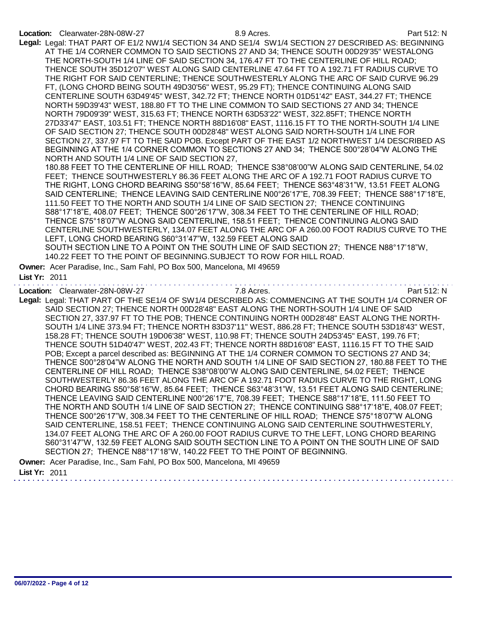## Location: Clearwater-28N-08W-27 8.9 Acres. Part 512: N

Legal: Legal: THAT PART OF E1/2 NW1/4 SECTION 34 AND SE1/4 SW1/4 SECTION 27 DESCRIBED AS: BEGINNING AT THE 1/4 CORNER COMMON TO SAID SECTIONS 27 AND 34; THENCE SOUTH 00D29'35" WESTALONG THE NORTH-SOUTH 1/4 LINE OF SAID SECTION 34, 176.47 FT TO THE CENTERLINE OF HILL ROAD; THENCE SOUTH 35D12'07" WEST ALONG SAID CENTERLINE 47.64 FT TO A 192.71 FT RADIUS CURVE TO THE RIGHT FOR SAID CENTERLINE; THENCE SOUTHWESTERLY ALONG THE ARC OF SAID CURVE 96.29 FT, (LONG CHORD BEING SOUTH 49D30'56" WEST, 95.29 FT); THENCE CONTINUING ALONG SAID CENTERLINE SOUTH 63D49'45" WEST, 342.72 FT; THENCE NORTH 01D51'42" EAST, 344.27 FT; THENCE NORTH 59D39'43" WEST, 188.80 FT TO THE LINE COMMON TO SAID SECTIONS 27 AND 34; THENCE NORTH 79D09'39" WEST, 315.63 FT; THENCE NORTH 63D53'22" WEST, 322.85FT; THENCE NORTH 27D33'47" EAST, 103.51 FT; THENCE NORTH 88D16'08" EAST, 1116.15 FT TO THE NORTH-SOUTH 1/4 LINE OF SAID SECTION 27; THENCE SOUTH 00D28'48" WEST ALONG SAID NORTH-SOUTH 1/4 LINE FOR SECTION 27, 337.97 FT TO THE SAID POB. Except PART OF THE EAST 1/2 NORTHWEST 1/4 DESCRIBED AS BEGINNING AT THE 1/4 CORNER COMMON TO SECTIONS 27 AND 34; THENCE S00°28'04"W ALONG THE NORTH AND SOUTH 1/4 LINE OF SAID SECTION 27,

180.88 FEET TO THE CENTERLINE OF HILL ROAD; THENCE S38°08'00"W ALONG SAID CENTERLINE, 54.02 FEET; THENCE SOUTHWESTERLY 86.36 FEET ALONG THE ARC OF A 192.71 FOOT RADIUS CURVE TO THE RIGHT, LONG CHORD BEARING S50°58'16"W, 85.64 FEET; THENCE S63°48'31"W, 13.51 FEET ALONG SAID CENTERLINE; THENCE LEAVING SAID CENTERLINE N00°26'17"E, 708.39 FEET; THENCE S88°17'18"E, 111.50 FEET TO THE NORTH AND SOUTH 1/4 LINE OF SAID SECTION 27; THENCE CONTINUING S88°17'18"E, 408.07 FEET; THENCE S00°26'17"W, 308.34 FEET TO THE CENTERLINE OF HILL ROAD; THENCE S75°18'07"W ALONG SAID CENTERLINE, 158.51 FEET; THENCE CONTINUING ALONG SAID CENTERLINE SOUTHWESTERLY, 134.07 FEET ALONG THE ARC OF A 260.00 FOOT RADIUS CURVE TO THE LEFT, LONG CHORD BEARING S60°31'47"W, 132.59 FEET ALONG SAID SOUTH SECTION LINE TO A POINT ON THE SOUTH LINE OF SAID SECTION 27; THENCE N88°17'18"W,

140.22 FEET TO THE POINT OF BEGINNING.SUBJECT TO ROW FOR HILL ROAD.

Owner: Acer Paradise, Inc., Sam Fahl, PO Box 500, Mancelona, MI 49659 List Yr: 2011

Location: Clearwater-28N-08W-27 7.8 Acres. 2008 7.8 Acres.

Legal: Legal: THAT PART OF THE SE1/4 OF SW1/4 DESCRIBED AS: COMMENCING AT THE SOUTH 1/4 CORNER OF SAID SECTION 27; THENCE NORTH 00D28'48" EAST ALONG THE NORTH-SOUTH 1/4 LINE OF SAID SECTION 27, 337.97 FT TO THE POB; THENCE CONTINUING NORTH 00D28'48" EAST ALONG THE NORTH-SOUTH 1/4 LINE 373.94 FT; THENCE NORTH 83D37'11" WEST, 886.28 FT; THENCE SOUTH 53D18'43" WEST, 158.28 FT; THENCE SOUTH 19D06'38" WEST, 110.98 FT; THENCE SOUTH 24D53'45" EAST, 199.76 FT; THENCE SOUTH 51D40'47" WEST, 202.43 FT; THENCE NORTH 88D16'08" EAST, 1116.15 FT TO THE SAID POB; Except a parcel described as: BEGINNING AT THE 1/4 CORNER COMMON TO SECTIONS 27 AND 34; THENCE S00°28'04"W ALONG THE NORTH AND SOUTH 1/4 LINE OF SAID SECTION 27, 180.88 FEET TO THE CENTERLINE OF HILL ROAD; THENCE S38°08'00"W ALONG SAID CENTERLINE, 54.02 FEET; THENCE SOUTHWESTERLY 86.36 FEET ALONG THE ARC OF A 192.71 FOOT RADIUS CURVE TO THE RIGHT, LONG CHORD BEARING S50°58'16"W, 85.64 FEET; THENCE S63°48'31"W, 13.51 FEET ALONG SAID CENTERLINE; THENCE LEAVING SAID CENTERLINE N00°26'17"E, 708.39 FEET; THENCE S88°17'18"E, 111.50 FEET TO THE NORTH AND SOUTH 1/4 LINE OF SAID SECTION 27; THENCE CONTINUING S88°17'18"E, 408.07 FEET; THENCE S00°26'17"W, 308.34 FEET TO THE CENTERLINE OF HILL ROAD; THENCE S75°18'07"W ALONG SAID CENTERLINE, 158.51 FEET; THENCE CONTINUING ALONG SAID CENTERLINE SOUTHWESTERLY, 134.07 FEET ALONG THE ARC OF A 260.00 FOOT RADIUS CURVE TO THE LEFT, LONG CHORD BEARING S60°31'47"W, 132.59 FEET ALONG SAID SOUTH SECTION LINE TO A POINT ON THE SOUTH LINE OF SAID SECTION 27; THENCE N88°17'18"W, 140.22 FEET TO THE POINT OF BEGINNING.

Owner: Acer Paradise, Inc., Sam Fahl, PO Box 500, Mancelona, MI 49659

List Yr: 2011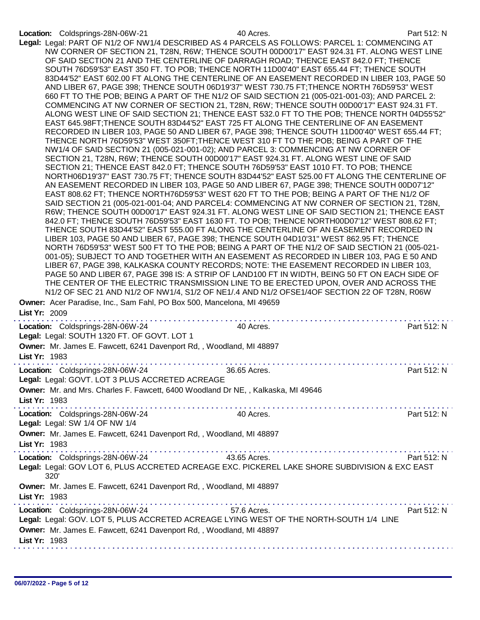|               | Location: Coldsprings-28N-06W-21                                    | 40 Acres.                                                                                      | Part 512: N |
|---------------|---------------------------------------------------------------------|------------------------------------------------------------------------------------------------|-------------|
|               |                                                                     | Legal: Legal: PART OF N1/2 OF NW1/4 DESCRIBED AS 4 PARCELS AS FOLLOWS: PARCEL 1: COMMENCING AT |             |
|               |                                                                     | NW CORNER OF SECTION 21, T28N, R6W; THENCE SOUTH 00D00'17" EAST 924.31 FT. ALONG WEST LINE     |             |
|               |                                                                     | OF SAID SECTION 21 AND THE CENTERLINE OF DARRAGH ROAD; THENCE EAST 842.0 FT; THENCE            |             |
|               |                                                                     | SOUTH 76D59'53" EAST 350 FT. TO POB; THENCE NORTH 11D00'40" EAST 655.44 FT; THENCE SOUTH       |             |
|               |                                                                     | 83D44'52" EAST 602.00 FT ALONG THE CENTERLINE OF AN EASEMENT RECORDED IN LIBER 103, PAGE 50    |             |
|               |                                                                     | AND LIBER 67, PAGE 398; THENCE SOUTH 06D19'37" WEST 730.75 FT; THENCE NORTH 76D59'53" WEST     |             |
|               |                                                                     | 660 FT TO THE POB; BEING A PART OF THE N1/2 OF SAID SECTION 21 (005-021-001-03); AND PARCEL 2: |             |
|               |                                                                     |                                                                                                |             |
|               |                                                                     | COMMENCING AT NW CORNER OF SECTION 21, T28N, R6W; THENCE SOUTH 00D00'17" EAST 924.31 FT.       |             |
|               |                                                                     | ALONG WEST LINE OF SAID SECTION 21; THENCE EAST 532.0 FT TO THE POB; THENCE NORTH 04D55'52"    |             |
|               |                                                                     | EAST 645.98FT;THENCE SOUTH 83D44'52" EAST 725 FT ALONG THE CENTERLINE OF AN EASEMENT           |             |
|               |                                                                     | RECORDED IN LIBER 103, PAGE 50 AND LIBER 67, PAGE 398; THENCE SOUTH 11D00'40" WEST 655.44 FT;  |             |
|               |                                                                     | THENCE NORTH 76D59'53" WEST 350FT; THENCE WEST 310 FT TO THE POB; BEING A PART OF THE          |             |
|               |                                                                     | NW1/4 OF SAID SECTION 21 (005-021-001-02); AND PARCEL 3: COMMENCING AT NW CORNER OF            |             |
|               |                                                                     | SECTION 21, T28N, R6W; THENCE SOUTH 00D00'17" EAST 924.31 FT. ALONG WEST LINE OF SAID          |             |
|               |                                                                     | SECTION 21; THENCE EAST 842.0 FT; THENCE SOUTH 76D59'53" EAST 1010 FT. TO POB; THENCE          |             |
|               |                                                                     | NORTH06D19'37" EAST 730.75 FT; THENCE SOUTH 83D44'52" EAST 525.00 FT ALONG THE CENTERLINE OF   |             |
|               |                                                                     | AN EASEMENT RECORDED IN LIBER 103, PAGE 50 AND LIBER 67, PAGE 398; THENCE SOUTH 00D07'12"      |             |
|               |                                                                     | EAST 808.62 FT; THENCE NORTH76D59'53" WEST 620 FT TO THE POB; BEING A PART OF THE N1/2 OF      |             |
|               |                                                                     | SAID SECTION 21 (005-021-001-04; AND PARCEL4: COMMENCING AT NW CORNER OF SECTION 21, T28N,     |             |
|               |                                                                     | R6W; THENCE SOUTH 00D00'17" EAST 924.31 FT. ALONG WEST LINE OF SAID SECTION 21; THENCE EAST    |             |
|               |                                                                     | 842.0 FT; THENCE SOUTH 76D59'53" EAST 1630 FT. TO POB; THENCE NORTH00D07'12" WEST 808.62 FT;   |             |
|               |                                                                     | THENCE SOUTH 83D44'52" EAST 555.00 FT ALONG THE CENTERLINE OF AN EASEMENT RECORDED IN          |             |
|               |                                                                     |                                                                                                |             |
|               |                                                                     | LIBER 103, PAGE 50 AND LIBER 67, PAGE 398; THENCE SOUTH 04D10'31" WEST 862.95 FT; THENCE       |             |
|               |                                                                     | NORTH 76D59'53" WEST 500 FT TO THE POB; BEING A PART OF THE N1/2 OF SAID SECTION 21 (005-021-  |             |
|               |                                                                     | 001-05); SUBJECT TO AND TOGETHER WITH AN EASEMENT AS RECORDED IN LIBER 103, PAG E 50 AND       |             |
|               |                                                                     | LIBER 67, PAGE 398, KALKASKA COUNTY RECORDS; NOTE: THE EASEMENT RECORDED IN LIBER 103,         |             |
|               |                                                                     | PAGE 50 AND LIBER 67, PAGE 398 IS: A STRIP OF LAND100 FT IN WIDTH, BEING 50 FT ON EACH SIDE OF |             |
|               |                                                                     | THE CENTER OF THE ELECTRIC TRANSMISSION LINE TO BE ERECTED UPON, OVER AND ACROSS THE           |             |
|               |                                                                     | N1/2 OF SEC 21 AND N1/2 OF NW1/4, S1/2 OF NE1/.4 AND N1/2 OFSE1/4OF SECTION 22 OF T28N, R06W   |             |
|               |                                                                     | Owner: Acer Paradise, Inc., Sam Fahl, PO Box 500, Mancelona, MI 49659                          |             |
| List Yr: 2009 |                                                                     |                                                                                                |             |
|               |                                                                     | .                                                                                              |             |
|               | Location: Coldsprings-28N-06W-24                                    | 40 Acres.                                                                                      | Part 512: N |
|               | Legal: Legal: SOUTH 1320 FT. OF GOVT. LOT 1                         |                                                                                                |             |
|               |                                                                     | Owner: Mr. James E. Fawcett, 6241 Davenport Rd,, Woodland, MI 48897                            |             |
|               |                                                                     |                                                                                                |             |
| List Yr: 1983 |                                                                     |                                                                                                |             |
|               | Location: Coldsprings-28N-06W-24                                    | 36.65 Acres.                                                                                   | Part 512: N |
|               | Legal: Legal: GOVT, LOT 3 PLUS ACCRETED ACREAGE                     |                                                                                                |             |
|               |                                                                     |                                                                                                |             |
|               |                                                                     | Owner: Mr. and Mrs. Charles F. Fawcett, 6400 Woodland Dr NE, , Kalkaska, MI 49646              |             |
| List Yr: 1983 |                                                                     |                                                                                                |             |
|               |                                                                     |                                                                                                |             |
|               | Location: Coldsprings-28N-06W-24                                    | 40 Acres.                                                                                      | Part 512: N |
|               | Legal: Legal: SW 1/4 OF NW 1/4                                      |                                                                                                |             |
|               | Owner: Mr. James E. Fawcett, 6241 Davenport Rd,, Woodland, MI 48897 |                                                                                                |             |
| List Yr: 1983 |                                                                     |                                                                                                |             |
|               |                                                                     |                                                                                                |             |
|               | Location: Coldsprings-28N-06W-24                                    | 43.65 Acres.                                                                                   | Part 512: N |
|               |                                                                     | Legal: Legal: GOV LOT 6, PLUS ACCRETED ACREAGE EXC. PICKEREL LAKE SHORE SUBDIVISION & EXC EAST |             |
| 320'          |                                                                     |                                                                                                |             |
|               | Owner: Mr. James E. Fawcett, 6241 Davenport Rd,, Woodland, MI 48897 |                                                                                                |             |
|               |                                                                     |                                                                                                |             |
| List Yr: 1983 |                                                                     |                                                                                                |             |
|               | Location: Coldsprings-28N-06W-24                                    | 57.6 Acres.                                                                                    | Part 512: N |
|               |                                                                     | Legal: Legal: GOV. LOT 5, PLUS ACCRETED ACREAGE LYING WEST OF THE NORTH-SOUTH 1/4 LINE         |             |
|               |                                                                     |                                                                                                |             |
|               |                                                                     | Owner: Mr. James E. Fawcett, 6241 Davenport Rd,, Woodland, MI 48897                            |             |
| List Yr: 1983 |                                                                     |                                                                                                |             |
|               |                                                                     |                                                                                                |             |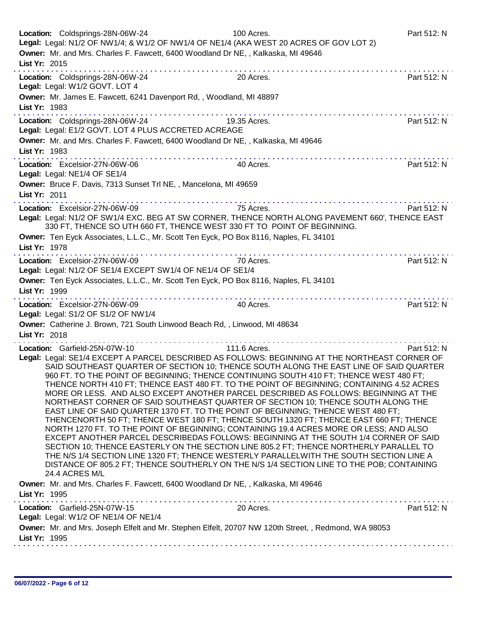| Legal: Legal: N1/2 OF NW1/4; & W1/2 OF NW1/4 OF NE1/4 (AKA WEST 20 ACRES OF GOV LOT 2)                                                                                                                                                                                                                                                                                                                                                                                                                                                                                                                                                                                                                                                                                                                                                                                                                                                                                                                                                                                                                                                                                                                                                                                            |             |
|-----------------------------------------------------------------------------------------------------------------------------------------------------------------------------------------------------------------------------------------------------------------------------------------------------------------------------------------------------------------------------------------------------------------------------------------------------------------------------------------------------------------------------------------------------------------------------------------------------------------------------------------------------------------------------------------------------------------------------------------------------------------------------------------------------------------------------------------------------------------------------------------------------------------------------------------------------------------------------------------------------------------------------------------------------------------------------------------------------------------------------------------------------------------------------------------------------------------------------------------------------------------------------------|-------------|
| Owner: Mr. and Mrs. Charles F. Fawcett, 6400 Woodland Dr NE, , Kalkaska, MI 49646<br>List Yr: 2015                                                                                                                                                                                                                                                                                                                                                                                                                                                                                                                                                                                                                                                                                                                                                                                                                                                                                                                                                                                                                                                                                                                                                                                |             |
| Location: Coldsprings-28N-06W-24<br>20 Acres.<br>Legal: Legal: W1/2 GOVT. LOT 4                                                                                                                                                                                                                                                                                                                                                                                                                                                                                                                                                                                                                                                                                                                                                                                                                                                                                                                                                                                                                                                                                                                                                                                                   | Part 512: N |
| Owner: Mr. James E. Fawcett, 6241 Davenport Rd,, Woodland, MI 48897<br>List Yr: 1983                                                                                                                                                                                                                                                                                                                                                                                                                                                                                                                                                                                                                                                                                                                                                                                                                                                                                                                                                                                                                                                                                                                                                                                              |             |
| $\label{eq:2.1} \begin{array}{lllllllllllllllllllll} \hline \textbf{1} & \textbf{1} & \textbf{1} & \textbf{1} & \textbf{1} & \textbf{1} & \textbf{1} & \textbf{1} & \textbf{1} & \textbf{1} & \textbf{1} & \textbf{1} & \textbf{1} & \textbf{1} & \textbf{1} & \textbf{1} & \textbf{1} & \textbf{1} & \textbf{1} & \textbf{1} & \textbf{1} & \textbf{1} & \textbf{1} & \textbf{1} & \textbf{1} & \textbf{1} & \textbf{1} & \text$<br>19.35 Acres.<br>Location: Coldsprings-28N-06W-24<br>Legal: Legal: E1/2 GOVT. LOT 4 PLUS ACCRETED ACREAGE                                                                                                                                                                                                                                                                                                                                                                                                                                                                                                                                                                                                                                                                                                                                     | Part 512: N |
| Owner: Mr. and Mrs. Charles F. Fawcett, 6400 Woodland Dr NE, , Kalkaska, MI 49646<br>List Yr: 1983                                                                                                                                                                                                                                                                                                                                                                                                                                                                                                                                                                                                                                                                                                                                                                                                                                                                                                                                                                                                                                                                                                                                                                                |             |
| Location: Excelsior-27N-06W-06<br>40 Acres.<br>Legal: Legal: NE1/4 OF SE1/4                                                                                                                                                                                                                                                                                                                                                                                                                                                                                                                                                                                                                                                                                                                                                                                                                                                                                                                                                                                                                                                                                                                                                                                                       | Part 512: N |
| Owner: Bruce F. Davis, 7313 Sunset Trl NE, , Mancelona, MI 49659<br>List Yr: 2011                                                                                                                                                                                                                                                                                                                                                                                                                                                                                                                                                                                                                                                                                                                                                                                                                                                                                                                                                                                                                                                                                                                                                                                                 |             |
| 75 Acres.<br>Location: Excelsior-27N-06W-09<br>Legal: Legal: N1/2 OF SW1/4 EXC. BEG AT SW CORNER, THENCE NORTH ALONG PAVEMENT 660', THENCE EAST<br>330 FT, THENCE SO UTH 660 FT, THENCE WEST 330 FT TO POINT OF BEGINNING.                                                                                                                                                                                                                                                                                                                                                                                                                                                                                                                                                                                                                                                                                                                                                                                                                                                                                                                                                                                                                                                        | Part 512: N |
| Owner: Ten Eyck Associates, L.L.C., Mr. Scott Ten Eyck, PO Box 8116, Naples, FL 34101<br>List Yr: 1978                                                                                                                                                                                                                                                                                                                                                                                                                                                                                                                                                                                                                                                                                                                                                                                                                                                                                                                                                                                                                                                                                                                                                                            |             |
| Location: Excelsior-27N-06W-09<br>70 Acres.<br>Legal: Legal: N1/2 OF SE1/4 EXCEPT SW1/4 OF NE1/4 OF SE1/4                                                                                                                                                                                                                                                                                                                                                                                                                                                                                                                                                                                                                                                                                                                                                                                                                                                                                                                                                                                                                                                                                                                                                                         | Part 512: N |
| Owner: Ten Eyck Associates, L.L.C., Mr. Scott Ten Eyck, PO Box 8116, Naples, FL 34101<br>List Yr: 1999                                                                                                                                                                                                                                                                                                                                                                                                                                                                                                                                                                                                                                                                                                                                                                                                                                                                                                                                                                                                                                                                                                                                                                            |             |
| Location: Excelsior-27N-06W-09<br>40 Acres.<br>Legal: Legal: S1/2 OF S1/2 OF NW1/4                                                                                                                                                                                                                                                                                                                                                                                                                                                                                                                                                                                                                                                                                                                                                                                                                                                                                                                                                                                                                                                                                                                                                                                                | Part 512: N |
| Owner: Catherine J. Brown, 721 South Linwood Beach Rd, , Linwood, MI 48634<br>List Yr: 2018                                                                                                                                                                                                                                                                                                                                                                                                                                                                                                                                                                                                                                                                                                                                                                                                                                                                                                                                                                                                                                                                                                                                                                                       |             |
| 111.6 Acres.<br>Location: Garfield-25N-07W-10<br>Legal: Legal: SE1/4 EXCEPT A PARCEL DESCRIBED AS FOLLOWS: BEGINNING AT THE NORTHEAST CORNER OF<br>SAID SOUTHEAST QUARTER OF SECTION 10; THENCE SOUTH ALONG THE EAST LINE OF SAID QUARTER<br>960 FT. TO THE POINT OF BEGINNING; THENCE CONTINUING SOUTH 410 FT; THENCE WEST 480 FT;<br>THENCE NORTH 410 FT; THENCE EAST 480 FT. TO THE POINT OF BEGINNING; CONTAINING 4.52 ACRES<br>MORE OR LESS. AND ALSO EXCEPT ANOTHER PARCEL DESCRIBED AS FOLLOWS: BEGINNING AT THE<br>NORTHEAST CORNER OF SAID SOUTHEAST QUARTER OF SECTION 10; THENCE SOUTH ALONG THE<br>EAST LINE OF SAID QUARTER 1370 FT. TO THE POINT OF BEGINNING: THENCE WEST 480 FT:<br>THENCENORTH 50 FT; THENCE WEST 180 FT; THENCE SOUTH 1320 FT; THENCE EAST 660 FT; THENCE<br>NORTH 1270 FT. TO THE POINT OF BEGINNING; CONTAINING 19.4 ACRES MORE OR LESS; AND ALSO<br>EXCEPT ANOTHER PARCEL DESCRIBEDAS FOLLOWS: BEGINNING AT THE SOUTH 1/4 CORNER OF SAID<br>SECTION 10; THENCE EASTERLY ON THE SECTION LINE 805.2 FT; THENCE NORTHERLY PARALLEL TO<br>THE N/S 1/4 SECTION LINE 1320 FT; THENCE WESTERLY PARALLELWITH THE SOUTH SECTION LINE A<br>DISTANCE OF 805.2 FT; THENCE SOUTHERLY ON THE N/S 1/4 SECTION LINE TO THE POB; CONTAINING<br>24.4 ACRES M/L | Part 512: N |
| Owner: Mr. and Mrs. Charles F. Fawcett, 6400 Woodland Dr NE, , Kalkaska, MI 49646<br>List Yr: 1995                                                                                                                                                                                                                                                                                                                                                                                                                                                                                                                                                                                                                                                                                                                                                                                                                                                                                                                                                                                                                                                                                                                                                                                |             |
| 20 Acres.<br>Location: Garfield-25N-07W-15<br>Legal: Legal: W1/2 OF NE1/4 OF NE1/4                                                                                                                                                                                                                                                                                                                                                                                                                                                                                                                                                                                                                                                                                                                                                                                                                                                                                                                                                                                                                                                                                                                                                                                                | Part 512: N |
| Owner: Mr. and Mrs. Joseph Elfelt and Mr. Stephen Elfelt, 20707 NW 120th Street, , Redmond, WA 98053<br>List Yr: 1995                                                                                                                                                                                                                                                                                                                                                                                                                                                                                                                                                                                                                                                                                                                                                                                                                                                                                                                                                                                                                                                                                                                                                             |             |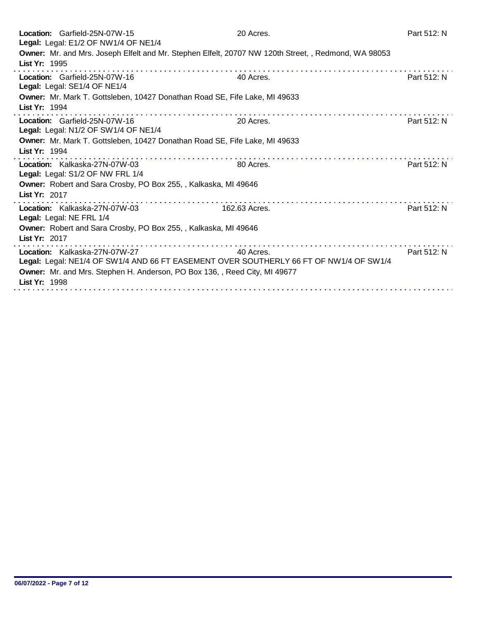| Location: Garfield-25N-07W-15<br>Legal: Legal: E1/2 OF NW1/4 OF NE1/4                                                                                                                                                  | 20 Acres.     | Part 512: N |
|------------------------------------------------------------------------------------------------------------------------------------------------------------------------------------------------------------------------|---------------|-------------|
| Owner: Mr. and Mrs. Joseph Elfelt and Mr. Stephen Elfelt, 20707 NW 120th Street, , Redmond, WA 98053<br>List Yr: 1995                                                                                                  |               |             |
| Location: Garfield-25N-07W-16<br>Legal: Legal: SE1/4 OF NE1/4                                                                                                                                                          | 40 Acres.     | Part 512: N |
| Owner: Mr. Mark T. Gottsleben, 10427 Donathan Road SE, Fife Lake, MI 49633<br>List Yr: 1994                                                                                                                            |               |             |
| Location: Garfield-25N-07W-16<br>Legal: Legal: N1/2 OF SW1/4 OF NE1/4                                                                                                                                                  | 20 Acres.     | Part 512: N |
| Owner: Mr. Mark T. Gottsleben, 10427 Donathan Road SE, Fife Lake, MI 49633<br>List Yr: 1994                                                                                                                            |               |             |
| Location: Kalkaska-27N-07W-03<br>Legal: Legal: S1/2 OF NW FRL 1/4                                                                                                                                                      | 80 Acres.     | Part 512: N |
| Owner: Robert and Sara Crosby, PO Box 255, , Kalkaska, MI 49646<br>List Yr: 2017                                                                                                                                       |               |             |
| Location: Kalkaska-27N-07W-03<br>Legal: Legal: NE FRL 1/4                                                                                                                                                              | 162.63 Acres. | Part 512: N |
| Owner: Robert and Sara Crosby, PO Box 255, , Kalkaska, MI 49646<br>List Yr: 2017                                                                                                                                       |               |             |
| Location: Kalkaska-27N-07W-27<br>Legal: Legal: NE1/4 OF SW1/4 AND 66 FT EASEMENT OVER SOUTHERLY 66 FT OF NW1/4 OF SW1/4<br>Owner: Mr. and Mrs. Stephen H. Anderson, PO Box 136, , Reed City, MI 49677<br>List Yr: 1998 | 40 Acres.     | Part 512: N |
|                                                                                                                                                                                                                        |               |             |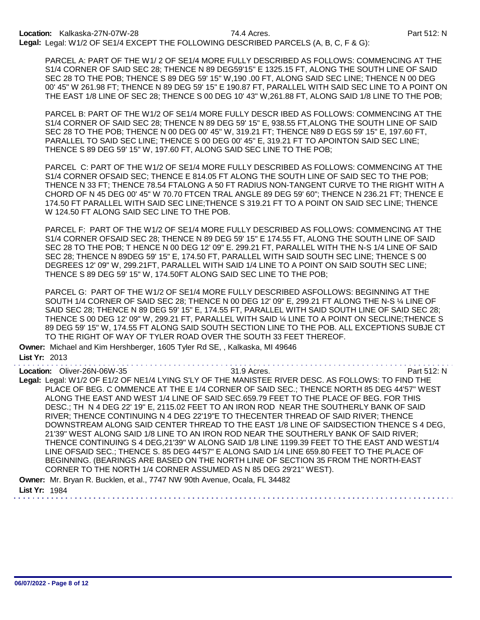PARCEL A: PART OF THE W1/ 2 OF SE1/4 MORE FULLY DESCRIBED AS FOLLOWS: COMMENCING AT THE S1/4 CORNER OF SAID SEC 28; THENCE N 89 DEG59'15" E 1325.15 FT, ALONG THE SOUTH LINE OF SAID SEC 28 TO THE POB; THENCE S 89 DEG 59' 15" W,190 .00 FT, ALONG SAID SEC LINE; THENCE N 00 DEG 00' 45" W 261.98 FT; THENCE N 89 DEG 59' 15" E 190.87 FT, PARALLEL WITH SAID SEC LINE TO A POINT ON THE EAST 1/8 LINE OF SEC 28; THENCE S 00 DEG 10' 43" W,261.88 FT, ALONG SAID 1/8 LINE TO THE POB;

PARCEL B: PART OF THE W1/2 OF SE1/4 MORE FULLY DESCR IBED AS FOLLOWS: COMMENCING AT THE S1/4 CORNER OF SAID SEC 28; THENCE N 89 DEG 59' 15" E, 938.55 FT,ALONG THE SOUTH LINE OF SAID SEC 28 TO THE POB; THENCE N 00 DEG 00' 45" W, 319.21 FT; THENCE N89 D EGS 59' 15" E, 197.60 FT, PARALLEL TO SAID SEC LINE; THENCE S 00 DEG 00' 45" E, 319.21 FT TO APOINTON SAID SEC LINE; THENCE S 89 DEG 59' 15" W, 197.60 FT, ALONG SAID SEC LINE TO THE POB;

PARCEL C: PART OF THE W1/2 OF SE1/4 MORE FULLY DESCRIBED AS FOLLOWS: COMMENCING AT THE S1/4 CORNER OFSAID SEC; THENCE E 814.05 FT ALONG THE SOUTH LINE OF SAID SEC TO THE POB; THENCE N 33 FT; THENCE 78.54 FTALONG A 50 FT RADIUS NON-TANGENT CURVE TO THE RIGHT WITH A CHORD OF N 45 DEG 00' 45" W 70.70 FTCEN TRAL ANGLE 89 DEG 59' 60"; THENCE N 236.21 FT; THENCE E 174.50 FT PARALLEL WITH SAID SEC LINE;THENCE S 319.21 FT TO A POINT ON SAID SEC LINE; THENCE W 124.50 FT ALONG SAID SEC LINE TO THE POB.

PARCEL F: PART OF THE W1/2 OF SE1/4 MORE FULLY DESCRIBED AS FOLLOWS: COMMENCING AT THE S1/4 CORNER OFSAID SEC 28; THENCE N 89 DEG 59' 15" E 174.55 FT, ALONG THE SOUTH LINE OF SAID SEC 28 TO THE POB; T HENCE N 00 DEG 12' 09" E. 299.21 FT, PARALLEL WITH THE N-S 1/4 LINE OF SAID SEC 28; THENCE N 89DEG 59' 15" E, 174.50 FT, PARALLEL WITH SAID SOUTH SEC LINE; THENCE S 00 DEGREES 12' 09" W, 299.21FT, PARALLEL WITH SAID 1/4 LINE TO A POINT ON SAID SOUTH SEC LINE; THENCE S 89 DEG 59' 15" W, 174.50FT ALONG SAID SEC LINE TO THE POB;

PARCEL G: PART OF THE W1/2 OF SE1/4 MORE FULLY DESCRIBED ASFOLLOWS: BEGINNING AT THE SOUTH 1/4 CORNER OF SAID SEC 28; THENCE N 00 DEG 12' 09" E, 299.21 FT ALONG THE N-S ¼ LINE OF SAID SEC 28; THENCE N 89 DEG 59' 15" E, 174.55 FT, PARALLEL WITH SAID SOUTH LINE OF SAID SEC 28; THENCE S 00 DEG 12' 09" W, 299.21 FT, PARALLEL WITH SAID ¼ LINE TO A POINT ON SECLINE;THENCE S 89 DEG 59' 15" W, 174.55 FT ALONG SAID SOUTH SECTION LINE TO THE POB. ALL EXCEPTIONS SUBJE CT TO THE RIGHT OF WAY OF TYLER ROAD OVER THE SOUTH 33 FEET THEREOF.

Owner: Michael and Kim Hershberger, 1605 Tyler Rd SE, , Kalkaska, MI 49646 List Yr: 2013

Location: Oliver-26N-06W-35 31.9 Acres. Part 512: N

Legal: Legal: W1/2 OF E1/2 OF NE1/4 LYING S'LY OF THE MANISTEE RIVER DESC. AS FOLLOWS: TO FIND THE PLACE OF BEG. C OMMENCE AT THE E 1/4 CORNER OF SAID SEC.; THENCE NORTH 85 DEG 44'57" WEST ALONG THE EAST AND WEST 1/4 LINE OF SAID SEC.659.79 FEET TO THE PLACE OF BEG. FOR THIS DESC.; TH N 4 DEG 22' 19" E, 2115.02 FEET TO AN IRON ROD NEAR THE SOUTHERLY BANK OF SAID RIVER; THENCE CONTINUING N 4 DEG 22'19"E TO THECENTER THREAD OF SAID RIVER; THENCE DOWNSTREAM ALONG SAID CENTER THREAD TO THE EAST 1/8 LINE OF SAIDSECTION THENCE S 4 DEG, 21'39" WEST ALONG SAID 1/8 LINE TO AN IRON ROD NEAR THE SOUTHERLY BANK OF SAID RIVER; THENCE CONTINUING S 4 DEG,21'39" W ALONG SAID 1/8 LINE 1199.39 FEET TO THE EAST AND WEST1/4 LINE OFSAID SEC.; THENCE S. 85 DEG 44'57" E ALONG SAID 1/4 LINE 659.80 FEET TO THE PLACE OF BEGINNING. (BEARINGS ARE BASED ON THE NORTH LINE OF SECTION 35 FROM THE NORTH-EAST CORNER TO THE NORTH 1/4 CORNER ASSUMED AS N 85 DEG 29'21" WEST). Owner: Mr. Bryan R. Bucklen, et al., 7747 NW 90th Avenue, Ocala, FL 34482

List Yr: 1984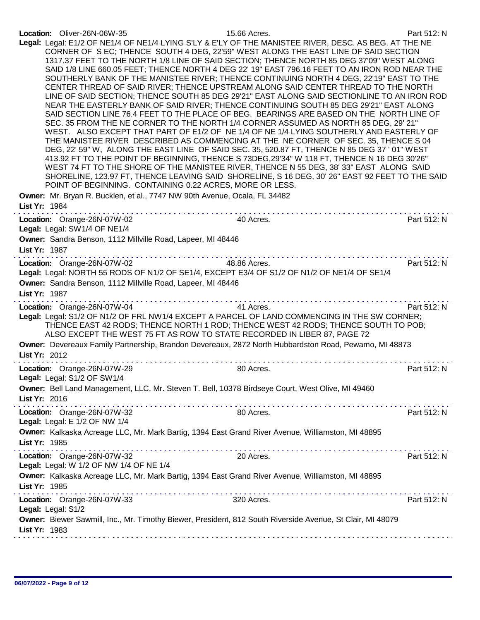| Location: Oliver-26N-06W-35<br>POINT OF BEGINNING. CONTAINING 0.22 ACRES, MORE OR LESS.                                                     | 15.66 Acres.<br>Legal: Legal: E1/2 OF NE1/4 OF NE1/4 LYING S'LY & E'LY OF THE MANISTEE RIVER, DESC. AS BEG. AT THE NE<br>CORNER OF SEC; THENCE SOUTH 4 DEG, 22'59" WEST ALONG THE EAST LINE OF SAID SECTION<br>1317.37 FEET TO THE NORTH 1/8 LINE OF SAID SECTION; THENCE NORTH 85 DEG 37'09" WEST ALONG<br>SAID 1/8 LINE 660.05 FEET; THENCE NORTH 4 DEG 22' 19" EAST 796.16 FEET TO AN IRON ROD NEAR THE<br>SOUTHERLY BANK OF THE MANISTEE RIVER; THENCE CONTINUING NORTH 4 DEG, 22'19" EAST TO THE<br>CENTER THREAD OF SAID RIVER; THENCE UPSTREAM ALONG SAID CENTER THREAD TO THE NORTH<br>LINE OF SAID SECTION; THENCE SOUTH 85 DEG 29'21" EAST ALONG SAID SECTIONLINE TO AN IRON ROD<br>NEAR THE EASTERLY BANK OF SAID RIVER; THENCE CONTINUING SOUTH 85 DEG 29'21" EAST ALONG<br>SAID SECTION LINE 76.4 FEET TO THE PLACE OF BEG. BEARINGS ARE BASED ON THE NORTH LINE OF<br>SEC. 35 FROM THE NE CORNER TO THE NORTH 1/4 CORNER ASSUMED AS NORTH 85 DEG, 29' 21"<br>WEST. ALSO EXCEPT THAT PART OF E1/2 OF NE 1/4 OF NE 1/4 LYING SOUTHERLY AND EASTERLY OF<br>THE MANISTEE RIVER DESCRIBED AS COMMENCING AT THE NE CORNER OF SEC. 35, THENCE S 04<br>DEG, 22' 59" W, ALONG THE EAST LINE OF SAID SEC. 35, 520.87 FT, THENCE N 85 DEG 37 ' 01" WEST<br>413.92 FT TO THE POINT OF BEGINNING, THENCE S 73DEG, 29'34" W 118 FT, THENCE N 16 DEG 30'26"<br>WEST 74 FT TO THE SHORE OF THE MANISTEE RIVER, THENCE N 55 DEG, 38' 33" EAST ALONG SAID<br>SHORELINE, 123.97 FT, THENCE LEAVING SAID SHORELINE, S 16 DEG, 30' 26" EAST 92 FEET TO THE SAID | Part 512: N |
|---------------------------------------------------------------------------------------------------------------------------------------------|----------------------------------------------------------------------------------------------------------------------------------------------------------------------------------------------------------------------------------------------------------------------------------------------------------------------------------------------------------------------------------------------------------------------------------------------------------------------------------------------------------------------------------------------------------------------------------------------------------------------------------------------------------------------------------------------------------------------------------------------------------------------------------------------------------------------------------------------------------------------------------------------------------------------------------------------------------------------------------------------------------------------------------------------------------------------------------------------------------------------------------------------------------------------------------------------------------------------------------------------------------------------------------------------------------------------------------------------------------------------------------------------------------------------------------------------------------------------------------------------------------------------------------------------------------|-------------|
| Owner: Mr. Bryan R. Bucklen, et al., 7747 NW 90th Avenue, Ocala, FL 34482<br>List Yr: 1984                                                  |                                                                                                                                                                                                                                                                                                                                                                                                                                                                                                                                                                                                                                                                                                                                                                                                                                                                                                                                                                                                                                                                                                                                                                                                                                                                                                                                                                                                                                                                                                                                                          |             |
| Location: Orange-26N-07W-02<br>Legal: Legal: SW1/4 OF NE1/4<br>Owner: Sandra Benson, 1112 Millville Road, Lapeer, MI 48446<br>List Yr: 1987 | $\label{eq:2.1} \begin{array}{lllllllllllllllllll} \mathbf{1}_{\mathbf{1}} & \mathbf{1}_{\mathbf{1}} & \mathbf{1}_{\mathbf{1}} & \mathbf{1}_{\mathbf{1}} & \mathbf{1}_{\mathbf{1}} & \mathbf{1}_{\mathbf{1}} & \mathbf{1}_{\mathbf{1}} & \mathbf{1}_{\mathbf{1}} & \mathbf{1}_{\mathbf{1}} \\ \mathbf{1}_{\mathbf{1}} & \mathbf{1}_{\mathbf{1}} & \mathbf{1}_{\mathbf{1}} & \mathbf{1}_{\mathbf{1}} & \mathbf{1}_{\mathbf{1}} & \mathbf{1}_{\mathbf{1}} &$<br>40 Acres.                                                                                                                                                                                                                                                                                                                                                                                                                                                                                                                                                                                                                                                                                                                                                                                                                                                                                                                                                                                                                                                                                  | Part 512: N |
| Location: Orange-26N-07W-02<br>Owner: Sandra Benson, 1112 Millville Road, Lapeer, MI 48446<br>List Yr: 1987                                 | 48.86 Acres.<br>Legal: Legal: NORTH 55 RODS OF N1/2 OF SE1/4, EXCEPT E3/4 OF S1/2 OF N1/2 OF NE1/4 OF SE1/4                                                                                                                                                                                                                                                                                                                                                                                                                                                                                                                                                                                                                                                                                                                                                                                                                                                                                                                                                                                                                                                                                                                                                                                                                                                                                                                                                                                                                                              | Part 512: N |
| Location: Orange-26N-07W-04                                                                                                                 | 41 Acres.<br>Legal: Legal: S1/2 OF N1/2 OF FRL NW1/4 EXCEPT A PARCEL OF LAND COMMENCING IN THE SW CORNER;<br>THENCE EAST 42 RODS; THENCE NORTH 1 ROD; THENCE WEST 42 RODS; THENCE SOUTH TO POB;<br>ALSO EXCEPT THE WEST 75 FT AS ROW TO STATE RECORDED IN LIBER 87, PAGE 72<br>Owner: Devereaux Family Partnership, Brandon Devereaux, 2872 North Hubbardston Road, Pewamo, MI 48873                                                                                                                                                                                                                                                                                                                                                                                                                                                                                                                                                                                                                                                                                                                                                                                                                                                                                                                                                                                                                                                                                                                                                                     | Part 512: N |
| List Yr: 2012                                                                                                                               |                                                                                                                                                                                                                                                                                                                                                                                                                                                                                                                                                                                                                                                                                                                                                                                                                                                                                                                                                                                                                                                                                                                                                                                                                                                                                                                                                                                                                                                                                                                                                          |             |
| Location: Orange-26N-07W-29<br>Legal: Legal: S1/2 OF SW1/4                                                                                  | 80 Acres.                                                                                                                                                                                                                                                                                                                                                                                                                                                                                                                                                                                                                                                                                                                                                                                                                                                                                                                                                                                                                                                                                                                                                                                                                                                                                                                                                                                                                                                                                                                                                | Part 512: N |
| List Yr: 2016                                                                                                                               | Owner: Bell Land Management, LLC, Mr. Steven T. Bell, 10378 Birdseye Court, West Olive, MI 49460                                                                                                                                                                                                                                                                                                                                                                                                                                                                                                                                                                                                                                                                                                                                                                                                                                                                                                                                                                                                                                                                                                                                                                                                                                                                                                                                                                                                                                                         |             |
| Location: Orange-26N-07W-32<br>Legal: Legal: E 1/2 OF NW 1/4                                                                                | 80 Acres.                                                                                                                                                                                                                                                                                                                                                                                                                                                                                                                                                                                                                                                                                                                                                                                                                                                                                                                                                                                                                                                                                                                                                                                                                                                                                                                                                                                                                                                                                                                                                | Part 512: N |
| List Yr: 1985                                                                                                                               | Owner: Kalkaska Acreage LLC, Mr. Mark Bartig, 1394 East Grand River Avenue, Williamston, MI 48895                                                                                                                                                                                                                                                                                                                                                                                                                                                                                                                                                                                                                                                                                                                                                                                                                                                                                                                                                                                                                                                                                                                                                                                                                                                                                                                                                                                                                                                        |             |
| Location: Orange-26N-07W-32<br>Legal: Legal: W 1/2 OF NW 1/4 OF NE 1/4                                                                      | 20 Acres.<br>Owner: Kalkaska Acreage LLC, Mr. Mark Bartig, 1394 East Grand River Avenue, Williamston, MI 48895                                                                                                                                                                                                                                                                                                                                                                                                                                                                                                                                                                                                                                                                                                                                                                                                                                                                                                                                                                                                                                                                                                                                                                                                                                                                                                                                                                                                                                           | Part 512: N |
| List Yr: 1985                                                                                                                               |                                                                                                                                                                                                                                                                                                                                                                                                                                                                                                                                                                                                                                                                                                                                                                                                                                                                                                                                                                                                                                                                                                                                                                                                                                                                                                                                                                                                                                                                                                                                                          |             |
| Location: Orange-26N-07W-33<br>Legal: Legal: S1/2                                                                                           | 320 Acres.<br>Owner: Biewer Sawmill, Inc., Mr. Timothy Biewer, President, 812 South Riverside Avenue, St Clair, MI 48079                                                                                                                                                                                                                                                                                                                                                                                                                                                                                                                                                                                                                                                                                                                                                                                                                                                                                                                                                                                                                                                                                                                                                                                                                                                                                                                                                                                                                                 | Part 512: N |
| List Yr: 1983                                                                                                                               |                                                                                                                                                                                                                                                                                                                                                                                                                                                                                                                                                                                                                                                                                                                                                                                                                                                                                                                                                                                                                                                                                                                                                                                                                                                                                                                                                                                                                                                                                                                                                          |             |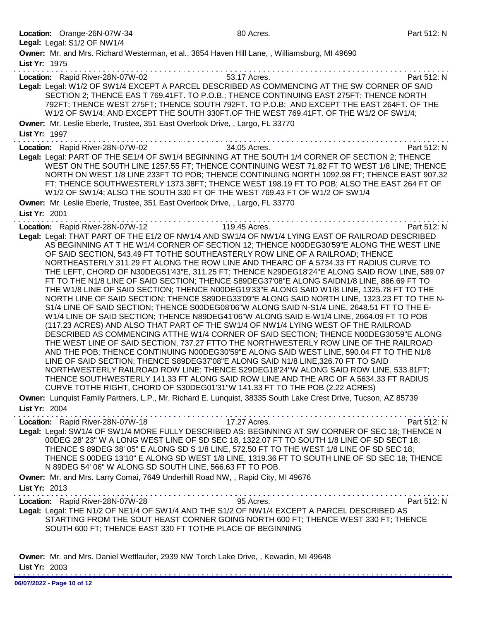|               | Location: Orange-26N-07W-34                                                                               | 80 Acres.                                                                                                                                                                                                                                                                                                                                                                                                                                                                                                                                                                                                                                                                                                                                                                                                                                                                                                                                                                                                                                                                                                                                                                                                                                                                                                                                                                                                                                                                                                                                                                                                                                                                                                      | Part 512: N |
|---------------|-----------------------------------------------------------------------------------------------------------|----------------------------------------------------------------------------------------------------------------------------------------------------------------------------------------------------------------------------------------------------------------------------------------------------------------------------------------------------------------------------------------------------------------------------------------------------------------------------------------------------------------------------------------------------------------------------------------------------------------------------------------------------------------------------------------------------------------------------------------------------------------------------------------------------------------------------------------------------------------------------------------------------------------------------------------------------------------------------------------------------------------------------------------------------------------------------------------------------------------------------------------------------------------------------------------------------------------------------------------------------------------------------------------------------------------------------------------------------------------------------------------------------------------------------------------------------------------------------------------------------------------------------------------------------------------------------------------------------------------------------------------------------------------------------------------------------------------|-------------|
|               | Legal: Legal: S1/2 OF NW1/4                                                                               |                                                                                                                                                                                                                                                                                                                                                                                                                                                                                                                                                                                                                                                                                                                                                                                                                                                                                                                                                                                                                                                                                                                                                                                                                                                                                                                                                                                                                                                                                                                                                                                                                                                                                                                |             |
| List Yr: 1975 |                                                                                                           | Owner: Mr. and Mrs. Richard Westerman, et al., 3854 Haven Hill Lane, , Williamsburg, MI 49690                                                                                                                                                                                                                                                                                                                                                                                                                                                                                                                                                                                                                                                                                                                                                                                                                                                                                                                                                                                                                                                                                                                                                                                                                                                                                                                                                                                                                                                                                                                                                                                                                  |             |
|               | Location: Rapid River-28N-07W-02                                                                          | 53.17 Acres.                                                                                                                                                                                                                                                                                                                                                                                                                                                                                                                                                                                                                                                                                                                                                                                                                                                                                                                                                                                                                                                                                                                                                                                                                                                                                                                                                                                                                                                                                                                                                                                                                                                                                                   | Part 512: N |
|               |                                                                                                           | Legal: Legal: W1/2 OF SW1/4 EXCEPT A PARCEL DESCRIBED AS COMMENCING AT THE SW CORNER OF SAID<br>SECTION 2; THENCE EAS T 769.41FT. TO P.O.B.; THENCE CONTINUING EAST 275FT; THENCE NORTH<br>792FT; THENCE WEST 275FT; THENCE SOUTH 792FT. TO P.O.B; AND EXCEPT THE EAST 264FT. OF THE<br>W1/2 OF SW1/4; AND EXCEPT THE SOUTH 330FT OF THE WEST 769.41FT. OF THE W1/2 OF SW1/4;                                                                                                                                                                                                                                                                                                                                                                                                                                                                                                                                                                                                                                                                                                                                                                                                                                                                                                                                                                                                                                                                                                                                                                                                                                                                                                                                  |             |
| List Yr: 1997 | Owner: Mr. Leslie Eberle, Trustee, 351 East Overlook Drive, , Largo, FL 33770                             |                                                                                                                                                                                                                                                                                                                                                                                                                                                                                                                                                                                                                                                                                                                                                                                                                                                                                                                                                                                                                                                                                                                                                                                                                                                                                                                                                                                                                                                                                                                                                                                                                                                                                                                |             |
|               | Location: Rapid River-28N-07W-02                                                                          | 34.05 Acres.                                                                                                                                                                                                                                                                                                                                                                                                                                                                                                                                                                                                                                                                                                                                                                                                                                                                                                                                                                                                                                                                                                                                                                                                                                                                                                                                                                                                                                                                                                                                                                                                                                                                                                   | Part 512: N |
|               |                                                                                                           | Legal: Legal: PART OF THE SE1/4 OF SW1/4 BEGINNING AT THE SOUTH 1/4 CORNER OF SECTION 2; THENCE<br>WEST ON THE SOUTH LINE 1257.55 FT; THENCE CONTINUING WEST 71.82 FT TO WEST 1/8 LINE; THENCE<br>NORTH ON WEST 1/8 LINE 233FT TO POB; THENCE CONTINUING NORTH 1092.98 FT; THENCE EAST 907.32<br>FT; THENCE SOUTHWESTERLY 1373.38FT; THENCE WEST 198.19 FT TO POB; ALSO THE EAST 264 FT OF<br>W1/2 OF SW1/4; ALSO THE SOUTH 330 FT OF THE WEST 769.43 FT OF W1/2 OF SW1/4                                                                                                                                                                                                                                                                                                                                                                                                                                                                                                                                                                                                                                                                                                                                                                                                                                                                                                                                                                                                                                                                                                                                                                                                                                      |             |
|               | Owner: Mr. Leslie Eberle, Trustee, 351 East Overlook Drive, , Largo, FL 33770                             |                                                                                                                                                                                                                                                                                                                                                                                                                                                                                                                                                                                                                                                                                                                                                                                                                                                                                                                                                                                                                                                                                                                                                                                                                                                                                                                                                                                                                                                                                                                                                                                                                                                                                                                |             |
| List Yr: 2001 |                                                                                                           |                                                                                                                                                                                                                                                                                                                                                                                                                                                                                                                                                                                                                                                                                                                                                                                                                                                                                                                                                                                                                                                                                                                                                                                                                                                                                                                                                                                                                                                                                                                                                                                                                                                                                                                |             |
|               | Location: Rapid River-28N-07W-12                                                                          | $119.45$ Acres.<br>Legal: Legal: THAT PART OF THE E1/2 OF NW1/4 AND SW1/4 OF NW1/4 LYING EAST OF RAILROAD DESCRIBED<br>AS BEGINNING AT T HE W1/4 CORNER OF SECTION 12; THENCE N00DEG30'59"E ALONG THE WEST LINE<br>OF SAID SECTION, 543.49 FT TOTHE SOUTHEASTERLY ROW LINE OF A RAILROAD; THENCE<br>NORTHEASTERLY 311.29 FT ALONG THE ROW LINE AND THEARC OF A 5734.33 FT RADIUS CURVE TO<br>THE LEFT, CHORD OF N30DEG51'43"E, 311.25 FT; THENCE N29DEG18'24"E ALONG SAID ROW LINE, 589.07<br>FT TO THE N1/8 LINE OF SAID SECTION; THENCE S89DEG37'08"E ALONG SAIDN1/8 LINE, 886.69 FT TO<br>THE W1/8 LINE OF SAID SECTION; THENCE N00DEG19'33"E ALONG SAID W1/8 LINE, 1325.78 FT TO THE<br>NORTH LINE OF SAID SECTION; THENCE S89DEG33'09"E ALONG SAID NORTH LINE, 1323.23 FT TO THE N-<br>S1/4 LINE OF SAID SECTION; THENCE S00DEG08'06"W ALONG SAID N-S1/4 LINE, 2648.51 FT TO THE E-<br>W1/4 LINE OF SAID SECTION; THENCE N89DEG41'06"W ALONG SAID E-W1/4 LINE, 2664.09 FT TO POB<br>(117.23 ACRES) AND ALSO THAT PART OF THE SW1/4 OF NW1/4 LYING WEST OF THE RAILROAD<br>DESCRIBED AS COMMENCING ATTHE W1/4 CORNER OF SAID SECTION; THENCE N00DEG30'59"E ALONG<br>THE WEST LINE OF SAID SECTION, 737.27 FTTO THE NORTHWESTERLY ROW LINE OF THE RAILROAD<br>AND THE POB; THENCE CONTINUING N00DEG30'59"E ALONG SAID WEST LINE, 590.04 FT TO THE N1/8<br>LINE OF SAID SECTION; THENCE S89DEG37'08"E ALONG SAID N1/8 LINE,326.70 FT TO SAID<br>NORTHWESTERLY RAILROAD ROW LINE; THENCE S29DEG18'24"W ALONG SAID ROW LINE, 533.81FT;<br>THENCE SOUTHWESTERLY 141.33 FT ALONG SAID ROW LINE AND THE ARC OF A 5634.33 FT RADIUS<br>CURVE TOTHE RIGHT, CHORD OF S30DEG01'31"W 141.33 FT TO THE POB (2.22 ACRES) | Part 512: N |
| List Yr: 2004 |                                                                                                           | Owner: Lunquist Family Partners, L.P., Mr. Richard E. Lunquist, 38335 South Lake Crest Drive, Tucson, AZ 85739                                                                                                                                                                                                                                                                                                                                                                                                                                                                                                                                                                                                                                                                                                                                                                                                                                                                                                                                                                                                                                                                                                                                                                                                                                                                                                                                                                                                                                                                                                                                                                                                 |             |
|               |                                                                                                           | .                                                                                                                                                                                                                                                                                                                                                                                                                                                                                                                                                                                                                                                                                                                                                                                                                                                                                                                                                                                                                                                                                                                                                                                                                                                                                                                                                                                                                                                                                                                                                                                                                                                                                                              |             |
|               | Location: Rapid River-28N-07W-18 17.27 Acres.<br>N 89DEG 54' 06" W ALONG SD SOUTH LINE, 566.63 FT TO POB. | Legal: Legal: SW1/4 OF SW1/4 MORE FULLY DESCRIBED AS: BEGINNING AT SW CORNER OF SEC 18; THENCE N<br>00DEG 28' 23" W A LONG WEST LINE OF SD SEC 18, 1322.07 FT TO SOUTH 1/8 LINE OF SD SECT 18;<br>THENCE S 89DEG 38' 05" E ALONG SD S 1/8 LINE, 572.50 FT TO THE WEST 1/8 LINE OF SD SEC 18;<br>THENCE S 00DEG 13'10" E ALONG SD WEST 1/8 LINE, 1319.36 FT TO SOUTH LINE OF SD SEC 18; THENCE                                                                                                                                                                                                                                                                                                                                                                                                                                                                                                                                                                                                                                                                                                                                                                                                                                                                                                                                                                                                                                                                                                                                                                                                                                                                                                                  | Part 512: N |
| List Yr: 2013 | Owner: Mr. and Mrs. Larry Comai, 7649 Underhill Road NW, , Rapid City, MI 49676                           |                                                                                                                                                                                                                                                                                                                                                                                                                                                                                                                                                                                                                                                                                                                                                                                                                                                                                                                                                                                                                                                                                                                                                                                                                                                                                                                                                                                                                                                                                                                                                                                                                                                                                                                |             |
|               | .<br>Location: Rapid River-28N-07W-28<br>SOUTH 600 FT; THENCE EAST 330 FT TOTHE PLACE OF BEGINNING        | 95 Acres.<br>Legal: Legal: THE N1/2 OF NE1/4 OF SW1/4 AND THE S1/2 OF NW1/4 EXCEPT A PARCEL DESCRIBED AS<br>STARTING FROM THE SOUT HEAST CORNER GOING NORTH 600 FT; THENCE WEST 330 FT; THENCE                                                                                                                                                                                                                                                                                                                                                                                                                                                                                                                                                                                                                                                                                                                                                                                                                                                                                                                                                                                                                                                                                                                                                                                                                                                                                                                                                                                                                                                                                                                 | Part 512: N |
|               | Owner: Mr. and Mrs. Daniel Wettlaufer, 2939 NW Torch Lake Drive, , Kewadin, MI 49648                      |                                                                                                                                                                                                                                                                                                                                                                                                                                                                                                                                                                                                                                                                                                                                                                                                                                                                                                                                                                                                                                                                                                                                                                                                                                                                                                                                                                                                                                                                                                                                                                                                                                                                                                                |             |

 $\sim$ 

List Yr: 2003